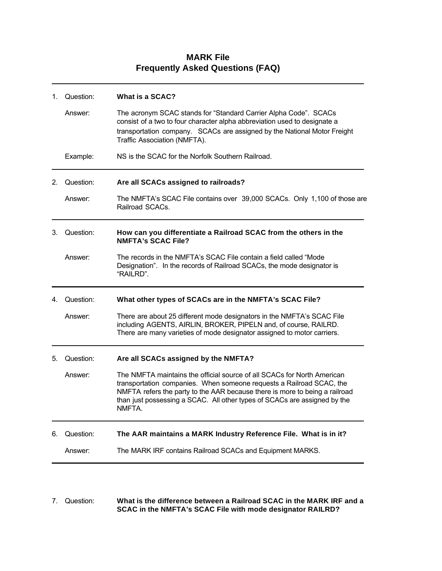| 1. | Question: | What is a SCAC?                                                                                                                                                                                                                                                                                                       |
|----|-----------|-----------------------------------------------------------------------------------------------------------------------------------------------------------------------------------------------------------------------------------------------------------------------------------------------------------------------|
|    | Answer:   | The acronym SCAC stands for "Standard Carrier Alpha Code". SCACs<br>consist of a two to four character alpha abbreviation used to designate a<br>transportation company. SCACs are assigned by the National Motor Freight<br>Traffic Association (NMFTA).                                                             |
|    | Example:  | NS is the SCAC for the Norfolk Southern Railroad.                                                                                                                                                                                                                                                                     |
| 2. | Question: | Are all SCACs assigned to railroads?                                                                                                                                                                                                                                                                                  |
|    | Answer:   | The NMFTA's SCAC File contains over 39,000 SCACs. Only 1,100 of those are<br>Railroad SCACs.                                                                                                                                                                                                                          |
| 3. | Question: | How can you differentiate a Railroad SCAC from the others in the<br><b>NMFTA's SCAC File?</b>                                                                                                                                                                                                                         |
|    | Answer:   | The records in the NMFTA's SCAC File contain a field called "Mode<br>Designation". In the records of Railroad SCACs, the mode designator is<br>"RAILRD".                                                                                                                                                              |
| 4. | Question: | What other types of SCACs are in the NMFTA's SCAC File?                                                                                                                                                                                                                                                               |
|    | Answer:   | There are about 25 different mode designators in the NMFTA's SCAC File<br>including AGENTS, AIRLIN, BROKER, PIPELN and, of course, RAILRD.<br>There are many varieties of mode designator assigned to motor carriers.                                                                                                 |
| 5. | Question: | Are all SCACs assigned by the NMFTA?                                                                                                                                                                                                                                                                                  |
|    | Answer:   | The NMFTA maintains the official source of all SCACs for North American<br>transportation companies. When someone requests a Railroad SCAC, the<br>NMFTA refers the party to the AAR because there is more to being a railroad<br>than just possessing a SCAC. All other types of SCACs are assigned by the<br>NMFTA. |
| 6. | Question: | The AAR maintains a MARK Industry Reference File. What is in it?                                                                                                                                                                                                                                                      |
|    | Answer:   | The MARK IRF contains Railroad SCACs and Equipment MARKS.                                                                                                                                                                                                                                                             |
|    |           |                                                                                                                                                                                                                                                                                                                       |

## **MARK File Frequently Asked Questions (FAQ)**

## 7. Question: **What is the difference between a Railroad SCAC in the MARK IRF and a SCAC in the NMFTA's SCAC File with mode designator RAILRD?**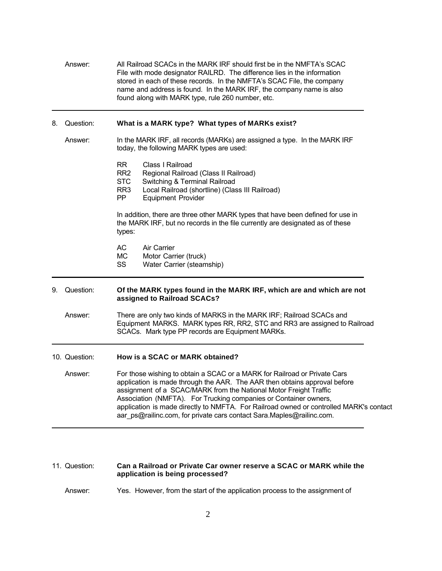Answer: All Railroad SCACs in the MARK IRF should first be in the NMFTA's SCAC File with mode designator RAILRD. The difference lies in the information stored in each of these records. In the NMFTA's SCAC File, the company name and address is found. In the MARK IRF, the company name is also found along with MARK type, rule 260 number, etc. 8. Question: **What is a MARK type? What types of MARKs exist?** Answer: In the MARK IRF, all records (MARKs) are assigned a type. In the MARK IRF today, the following MARK types are used: RR Class I Railroad RR2 Regional Railroad (Class II Railroad) STC Switching & Terminal Railroad<br>RR3 Local Railroad (shortline) (Clas Local Railroad (shortline) (Class III Railroad) PP Equipment Provider In addition, there are three other MARK types that have been defined for use in the MARK IRF, but no records in the file currently are designated as of these types: AC Air Carrier<br>MC Motor Carr Motor Carrier (truck) SS Water Carrier (steamship) 9. Question: **Of the MARK types found in the MARK IRF, which are and which are not assigned to Railroad SCACs?** Answer: There are only two kinds of MARKS in the MARK IRF; Railroad SCACs and Equipment MARKS. MARK types RR, RR2, STC and RR3 are assigned to Railroad SCACs. Mark type PP records are Equipment MARKs. 10. Question: **How is a SCAC or MARK obtained?** Answer: For those wishing to obtain a SCAC or a MARK for Railroad or Private Cars application is made through the AAR. The AAR then obtains approval before assignment of a SCAC/MARK from the National Motor Freight Traffic Association (NMFTA). For Trucking companies or Container owners, application is made directly to NMFTA. For Railroad owned or controlled MARK's contact aar\_ps@railinc.com, for private cars contact Sara.Maples@railinc.com.

## 11. Question: **Can a Railroad or Private Car owner reserve a SCAC or MARK while the application is being processed?**

Answer: Yes. However, from the start of the application process to the assignment of